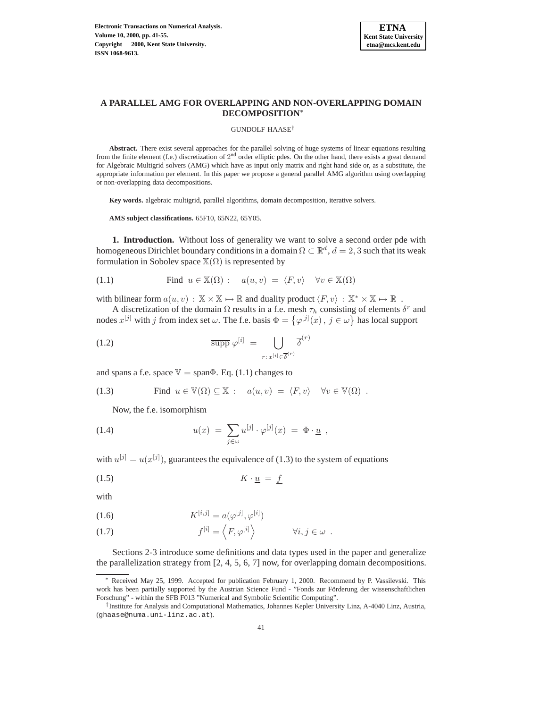

## **A PARALLEL AMG FOR OVERLAPPING AND NON-OVERLAPPING DOMAIN DECOMPOSITION**<sup>∗</sup>

#### GUNDOLF HAASE†

**Abstract.** There exist several approaches for the parallel solving of huge systems of linear equations resulting from the finite element (f.e.) discretization of  $2^{nd}$  order elliptic pdes. On the other hand, there exists a great demand for Algebraic Multigrid solvers (AMG) which have as input only matrix and right hand side or, as a substitute, the appropriate information per element. In this paper we propose a general parallel AMG algorithm using overlapping or non-overlapping data decompositions.

**Key words.** algebraic multigrid, parallel algorithms, domain decomposition, iterative solvers.

**AMS subject classifications.** 65F10, 65N22, 65Y05.

**1. Introduction.** Without loss of generality we want to solve a second order pde with homogeneous Dirichlet boundary conditions in a domain  $\Omega \subset \mathbb{R}^d$ ,  $d = 2, 3$  such that its weak formulation in Sobolev space  $\mathbb{X}(\Omega)$  is represented by

(1.1) Find 
$$
u \in \mathbb{X}(\Omega)
$$
:  $a(u, v) = \langle F, v \rangle \quad \forall v \in \mathbb{X}(\Omega)$ 

with bilinear form  $a(u, v) : \mathbb{X} \times \mathbb{X} \mapsto \mathbb{R}$  and duality product  $\langle F, v \rangle : \mathbb{X}^* \times \mathbb{X} \mapsto \mathbb{R}$ .

A discretization of the domain  $\Omega$  results in a f.e. mesh  $\tau_h$  consisting of elements  $\delta^r$  and nodes  $x^{[j]}$  with j from index set  $\omega$ . The f.e. basis  $\Phi = {\{\varphi^{[j]}(x), j \in \omega\}}$  has local support

(1.2) 
$$
\overline{\text{supp}} \varphi^{[i]} = \bigcup_{r:\, x^{[i]} \in \overline{\delta}^{(r)}} \overline{\delta}^{(r)}
$$

and spans a f.e. space  $\mathbb{V} = \text{span}\Phi$ . Eq. (1.1) changes to

(1.3) Find 
$$
u \in \mathbb{V}(\Omega) \subseteq \mathbb{X}
$$
:  $a(u, v) = \langle F, v \rangle \quad \forall v \in \mathbb{V}(\Omega)$ .

Now, the f.e. isomorphism

(1.4) 
$$
u(x) = \sum_{j \in \omega} u^{[j]} \cdot \varphi^{[j]}(x) = \Phi \cdot \underline{u} ,
$$

with  $u^{[j]} = u(x^{[j]})$ , guarantees the equivalence of (1.3) to the system of equations

$$
(1.5) \t\t K \cdot \underline{u} = f
$$

with

(1.6) 
$$
K^{[i,j]} = a(\varphi^{[j]}, \varphi^{[i]})
$$

(1.7) 
$$
f^{[i]} = \left\langle F, \varphi^{[i]} \right\rangle \qquad \forall i, j \in \omega.
$$

Sections 2-3 introduce some definitions and data types used in the paper and generalize the parallelization strategy from [2, 4, 5, 6, 7] now, for overlapping domain decompositions.

Received May 25, 1999. Accepted for publication February 1, 2000. Recommend by P. Vassilevski. This work has been partially supported by the Austrian Science Fund - "Fonds zur Förderung der wissenschaftlichen Forschung" - within the SFB F013 "Numerical and Symbolic Scientific Computing".

<sup>†</sup>Institute for Analysis and Computational Mathematics, Johannes Kepler University Linz, A-4040 Linz, Austria, (ghaase@numa.uni-linz.ac.at).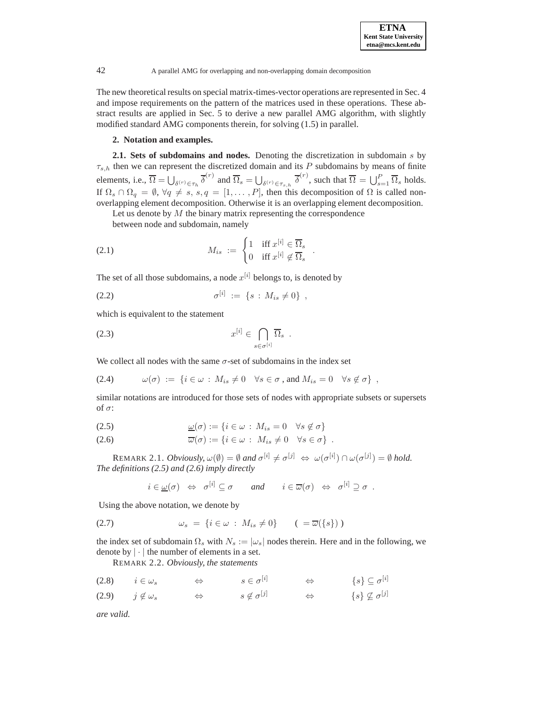The new theoretical results on special matrix-times-vector operations are represented in Sec. 4 and impose requirements on the pattern of the matrices used in these operations. These abstract results are applied in Sec. 5 to derive a new parallel AMG algorithm, with slightly modified standard AMG components therein, for solving (1.5) in parallel.

### **2. Notation and examples.**

**2.1. Sets of subdomains and nodes.** Denoting the discretization in subdomain s by  $\tau_{s,h}$  then we can represent the discretized domain and its P subdomains by means of finite elements, i.e.,  $\overline{\Omega} = \bigcup_{\delta^{(r)} \in \tau_h} \overline{\delta}^{(r)}$  and  $\overline{\Omega}_s = \bigcup_{\delta^{(r)} \in \tau_{s,h}} \overline{\delta}^{(r)}$ , such that  $\overline{\Omega} = \bigcup_{s=1}^P \overline{\Omega}_s$  holds. If  $\Omega_s \cap \Omega_q = \emptyset$ ,  $\forall q \neq s$ ,  $s, q = [1, \ldots, P]$ , then this decomposition of  $\Omega$  is called nonoverlapping element decomposition. Otherwise it is an overlapping element decomposition.

Let us denote by  $M$  the binary matrix representing the correspondence

between node and subdomain, namely

(2.1) 
$$
M_{is} := \begin{cases} 1 & \text{iff } x^{[i]} \in \overline{\Omega}_s \\ 0 & \text{iff } x^{[i]} \notin \overline{\Omega}_s \end{cases}.
$$

The set of all those subdomains, a node  $x^{[i]}$  belongs to, is denoted by

(2.2) 
$$
\sigma^{[i]} := \{s : M_{is} \neq 0\},
$$

which is equivalent to the statement

$$
(2.3) \t x^{[i]} \in \bigcap_{s \in \sigma^{[i]}} \overline{\Omega}_s .
$$

We collect all nodes with the same  $\sigma$ -set of subdomains in the index set

(2.4) 
$$
\omega(\sigma) := \{ i \in \omega : M_{is} \neq 0 \quad \forall s \in \sigma \text{, and } M_{is} = 0 \quad \forall s \notin \sigma \},
$$

similar notations are introduced for those sets of nodes with appropriate subsets or supersets of σ:

(2.5) 
$$
\underline{\omega}(\sigma) := \{ i \in \omega : M_{is} = 0 \quad \forall s \notin \sigma \}
$$

(2.6) 
$$
\overline{\omega}(\sigma) := \{i \in \omega : M_{is} \neq 0 \quad \forall s \in \sigma\} .
$$

REMARK 2.1. *Obviously*,  $\omega(\emptyset) = \emptyset$  and  $\sigma^{[i]} \neq \sigma^{[j]} \Leftrightarrow \omega(\sigma^{[i]}) \cap \omega(\sigma^{[j]}) = \emptyset$  hold. *The definitions (2.5) and (2.6) imply directly*

$$
i \in \underline{\omega}(\sigma) \Leftrightarrow \sigma^{[i]} \subseteq \sigma
$$
 and  $i \in \overline{\omega}(\sigma) \Leftrightarrow \sigma^{[i]} \supseteq \sigma$ .

Using the above notation, we denote by

$$
(2.7) \qquad \qquad \omega_s \ = \ \{ i \in \omega \ : \ M_{is} \neq 0 \} \qquad ( = \overline{\omega}(\{ s \}) \ )
$$

the index set of subdomain  $\Omega_s$  with  $N_s := |\omega_s|$  nodes therein. Here and in the following, we denote by  $|\cdot|$  the number of elements in a set.

REMARK 2.2. *Obviously, the statements*

| (2.8) | $i \in \omega_s$    | $s \in \sigma^{[i]}$    | $\{s\} \subseteq \sigma^{[i]}$ |
|-------|---------------------|-------------------------|--------------------------------|
| (2.9) | $j \notin \omega_s$ | $s \notin \sigma^{[j]}$ | $\{s\}\nsubseteq \sigma^{[j]}$ |

*are valid.*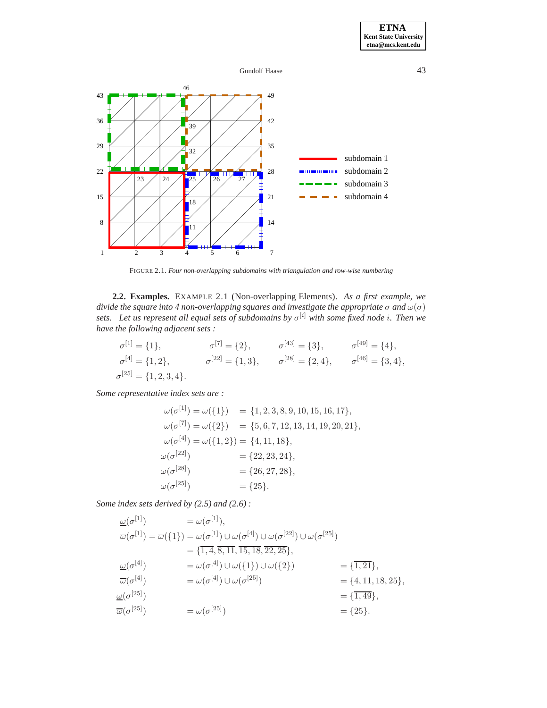





FIGURE 2.1. *Four non-overlapping subdomains with triangulation and row-wise numbering*

**2.2. Examples.** EXAMPLE 2.1 (Non-overlapping Elements). *As a first example, we divide the square into 4 non-overlapping squares and investigate the appropriate*  $\sigma$  *and*  $\omega(\sigma)$ *sets.* Let us represent all equal sets of subdomains by  $\sigma^{[i]}$  with some fixed node i. Then we *have the following adjacent sets :*

$$
\sigma^{[1]} = \{1\}, \qquad \sigma^{[7]} = \{2\}, \qquad \sigma^{[43]} = \{3\}, \qquad \sigma^{[49]} = \{4\},
$$
  
\n
$$
\sigma^{[4]} = \{1, 2\}, \qquad \sigma^{[22]} = \{1, 3\}, \qquad \sigma^{[28]} = \{2, 4\}, \qquad \sigma^{[46]} = \{3, 4\},
$$
  
\n
$$
\sigma^{[25]} = \{1, 2, 3, 4\}.
$$

*Some representative index sets are :*

$$
\begin{aligned}\n\omega(\sigma^{[1]}) &= \omega(\{1\}) &= \{1, 2, 3, 8, 9, 10, 15, 16, 17\}, \\
\omega(\sigma^{[7]}) &= \omega(\{2\}) &= \{5, 6, 7, 12, 13, 14, 19, 20, 21\}, \\
\omega(\sigma^{[4]}) &= \omega(\{1, 2\}) = \{4, 11, 18\}, \\
\omega(\sigma^{[22]}) &= \{22, 23, 24\}, \\
\omega(\sigma^{[28]}) &= \{26, 27, 28\}, \\
\omega(\sigma^{[25]}) &= \{25\}.\n\end{aligned}
$$

*Some index sets derived by (2.5) and (2.6) :*

$$
\begin{aligned}\n\frac{\omega(\sigma^{[1]})}{\overline{\omega}(\sigma^{[1]})} &= \omega(\sigma^{[1]}), \\
\overline{\omega}(\sigma^{[1]}) &= \overline{\omega}(\{1\}) \cup \omega(\sigma^{[4]}) \cup \omega(\sigma^{[22]}) \cup \omega(\sigma^{[25]}) \\
&= \{\overline{1,4}, 8, \overline{11}, \overline{15}, 18, 22, 25\}, \\
\frac{\omega(\sigma^{[4]})}{\overline{\omega}(\sigma^{[4]})} &= \omega(\sigma^{[4]}) \cup \omega(\{1\}) \cup \omega(\{2\}) \\
&= \{\overline{1,21}\}, \\
\overline{\omega}(\sigma^{[4]}) &= \omega(\sigma^{[4]}) \cup \omega(\sigma^{[25]}) \\
&= \{\overline{4,11}, 18, 25\}, \\
\frac{\omega(\sigma^{[25]})}{\overline{\omega}(\sigma^{[25]})} &= \omega(\sigma^{[25]}) \\
&= \omega(\sigma^{[25]}) \\
&= \{\overline{25}\}.\n\end{aligned}
$$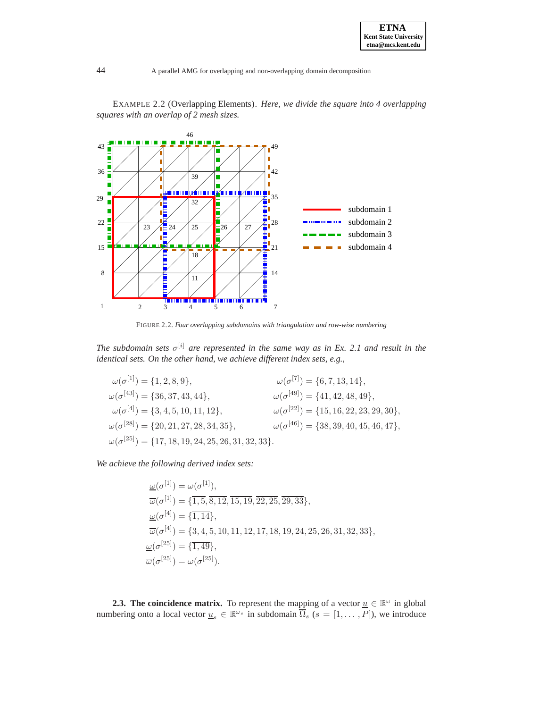

EXAMPLE 2.2 (Overlapping Elements). *Here, we divide the square into 4 overlapping squares with an overlap of 2 mesh sizes.*

FIGURE 2.2. *Four overlapping subdomains with triangulation and row-wise numbering*

*The subdomain sets*  $\sigma^{[i]}$  *are represented in the same way as in Ex. 2.1 and result in the identical sets. On the other hand, we achieve different index sets, e.g.,*

 $\omega(\sigma^{[1]}) = \{1, 2, 8, 9\},\qquad \omega(\sigma^{[7]}) = \{6, 7, 13, 14\},\$  $\omega(\sigma^{[43]}) = \{36, 37, 43, 44\}, \qquad \omega(\sigma^{[49]}) = \{41, 42, 48, 49\},\$  $\omega(\sigma^{[4]}) = \{3, 4, 5, 10, 11, 12\},$   $\omega(\sigma^{[22]}) = \{15, 16, 22, 23, 29, 30\},$   $\omega(\sigma^{[28]}) = \{20, 21, 27, 28, 34, 35\},$   $\omega(\sigma^{[46]}) = \{38, 39, 40, 45, 46, 47\},$  $\omega(\sigma^{[46]}) = \{38, 39, 40, 45, 46, 47\},\$  $\omega(\sigma^{[25]}) = \{17, 18, 19, 24, 25, 26, 31, 32, 33\}.$ 

*We achieve the following derived index sets:*

$$
\underline{\omega}(\sigma^{[1]}) = \omega(\sigma^{[1]}),
$$
  
\n
$$
\overline{\omega}(\sigma^{[1]}) = \{\overline{1, 5, 8, 12}, \overline{15, 19}, \overline{22, 25}, \overline{29, 33}\},
$$
  
\n
$$
\underline{\omega}(\sigma^{[4]}) = \{\overline{1, 14}\},
$$
  
\n
$$
\overline{\omega}(\sigma^{[4]}) = \{3, 4, 5, 10, 11, 12, 17, 18, 19, 24, 25, 26, 31, 32, 33\},
$$
  
\n
$$
\underline{\omega}(\sigma^{[25]}) = \{\overline{1, 49}\},
$$
  
\n
$$
\overline{\omega}(\sigma^{[25]}) = \omega(\sigma^{[25]}).
$$

**2.3. The coincidence matrix.** To represent the mapping of a vector  $\underline{u} \in \mathbb{R}^{\omega}$  in global numbering onto a local vector  $\underline{u}_s \in \mathbb{R}^{\omega_s}$  in subdomain  $\overline{\Omega}_s$  ( $s = [1, \dots, P]$ ), we introduce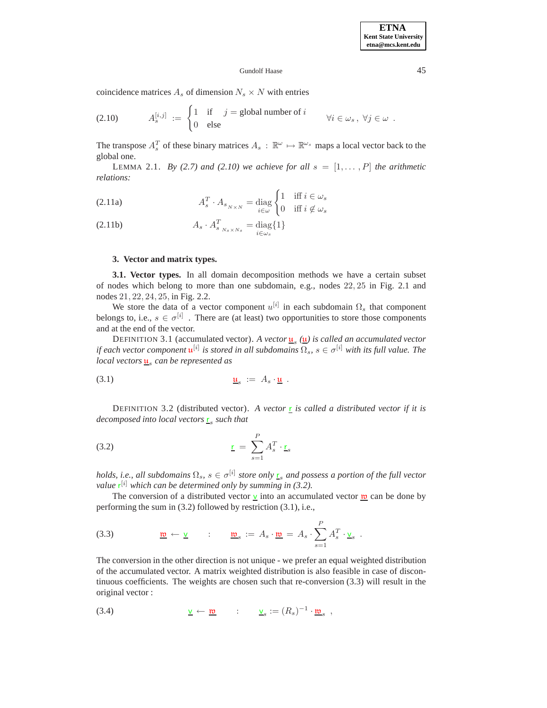### Gundolf Haase 45

coincidence matrices  $A_s$  of dimension  $N_s \times N$  with entries

(2.10) 
$$
A_s^{[i,j]} := \begin{cases} 1 & \text{if } j = \text{global number of } i \\ 0 & \text{else} \end{cases} \forall i \in \omega_s, \forall j \in \omega.
$$

The transpose  $A_s^T$  of these binary matrices  $A_s : \mathbb{R}^{\omega} \mapsto \mathbb{R}^{\omega_s}$  maps a local vector back to the global one.

LEMMA 2.1. *By (2.7) and (2.10) we achieve for all*  $s = [1, \ldots, P]$  *the arithmetic relations:*

(2.11a) 
$$
A_s^T \cdot A_{s_{N \times N}} = \text{diag} \begin{cases} 1 & \text{iff } i \in \omega_s \\ 0 & \text{iff } i \notin \omega_s \end{cases}
$$

$$
(2.11b) \t\t A_s \t A_{s_{N_s \times N_s}}^T = \text{diag}\{1\}
$$

### **3. Vector and matrix types.**

**3.1. Vector types.** In all domain decomposition methods we have a certain subset of nodes which belong to more than one subdomain, e.g., nodes 22, 25 in Fig. 2.1 and nodes 21, 22, 24, 25, in Fig. 2.2.

We store the data of a vector component  $u^{[i]}$  in each subdomain  $\Omega_s$  that component belongs to, i.e.,  $s \in \sigma^{[i]}$ . There are (at least) two opportunities to store those components and at the end of the vector.

DEFINITION 3.1 (accumulated vector). A vector  $\underline{\mathbf{u}}_s$  ( $\underline{\mathbf{u}}$ ) is called an accumulated vector *if each vector component*  $\mathfrak{u}^{[i]}$  *is stored in all subdomains*  $\Omega_s$ ,  $s \in \sigma^{[i]}$  *with its full value. The local vectors*  $\mathbf{u}_s$  *can be represented as* 

$$
\underline{\mathbf{u}}_s := A_s \cdot \underline{\mathbf{u}} \ .
$$

DEFINITION 3.2 (distributed vector). A vector  $r \sin i$  *z is called a distributed vector if it is decomposed into local vectors*  $\frac{r}{s}$  *such that* 

$$
\underline{\mathbf{r}} = \sum_{s=1}^{P} A_s^T \cdot \underline{\mathbf{r}}_s
$$

*holds, i.e., all subdomains*  $\Omega_s$ ,  $s \in \sigma^{[i]}$  *store only*  $\underline{r}_s$  *and possess a portion of the full vector value*  $r^{[i]}$  *which can be determined only by summing in (3.2).* 

The conversion of a distributed vector  $\underline{v}$  into an accumulated vector  $\underline{w}$  can be done by performing the sum in (3.2) followed by restriction (3.1), i.e.,

(3.3) 
$$
\underline{\mathfrak{w}} \leftarrow \underline{\mathsf{v}} \qquad : \qquad \underline{\mathfrak{w}}_s := A_s \cdot \underline{\mathfrak{w}} = A_s \cdot \sum_{s=1}^P A_s^T \cdot \underline{\mathsf{v}}_s \; .
$$

The conversion in the other direction is not unique - we prefer an equal weighted distribution of the accumulated vector. A matrix weighted distribution is also feasible in case of discontinuous coefficients. The weights are chosen such that re-conversion (3.3) will result in the original vector :

(3.4) 
$$
\underline{\mathbf{v}} \leftarrow \underline{\mathbf{w}} \qquad : \qquad \underline{\mathbf{v}}_s := (R_s)^{-1} \cdot \underline{\mathbf{w}}_s ,
$$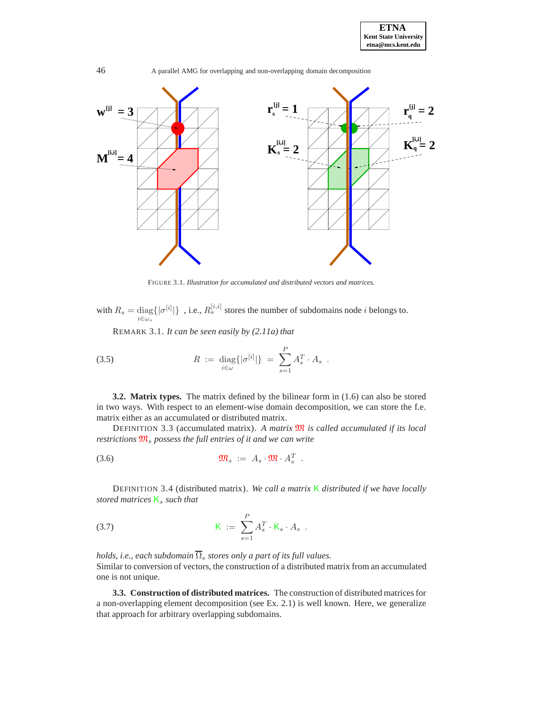



FIGURE 3.1. *Illustration for accumulated and distributed vectors and matrices.*

with  $R_s = \text{diag}\{|\sigma^{[i]}|\}$ , i.e.,  $R_s^{[i,i]}$  stores the number of subdomains node *i* belongs to.  $i\in\omega$ 

REMARK 3.1. *It can be seen easily by (2.11a) that*

(3.5) 
$$
R := \text{diag}\{|\sigma^{[i]}|\} = \sum_{s=1}^{P} A_s^T \cdot A_s.
$$

**3.2. Matrix types.** The matrix defined by the bilinear form in (1.6) can also be stored in two ways. With respect to an element-wise domain decomposition, we can store the f.e. matrix either as an accumulated or distributed matrix.

DEFINITION 3.3 (accumulated matrix). *A matrix* <sup>M</sup> *is called accumulated if its local restrictions*  $\mathfrak{M}_s$  *possess the full entries of it and we can write* 

$$
\mathfrak{M}_s := A_s \cdot \mathfrak{M} \cdot A_s^T.
$$

DEFINITION 3.4 (distributed matrix). *We call a matrix* K *distributed if we have locally stored matrices*  $K_s$  *such that* 

$$
\mathsf{K} \; := \; \sum_{s=1}^{P} A_s^T \cdot \mathsf{K}_s \cdot A_s \; .
$$

*holds, i.e., each subdomain*  $\overline{\Omega}_s$  *stores only a part of its full values.* Similar to conversion of vectors, the construction of a distributed matrix from an accumulated one is not unique.

**3.3. Construction of distributed matrices.** The construction of distributed matrices for a non-overlapping element decomposition (see Ex. 2.1) is well known. Here, we generalize that approach for arbitrary overlapping subdomains.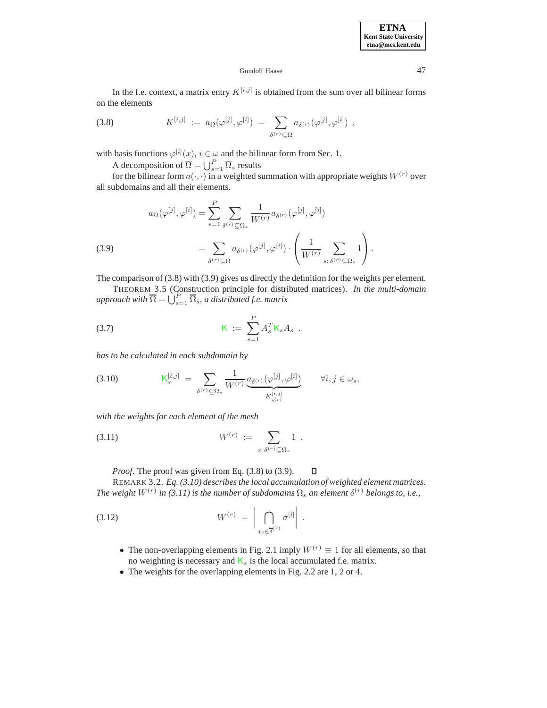### Gundolf Haase 47

In the f.e. context, a matrix entry  $K^{[i,j]}$  is obtained from the sum over all bilinear forms on the elements

(3.8) 
$$
K^{[i,j]} := a_{\Omega}(\varphi^{[j]}, \varphi^{[i]}) = \sum_{\delta^{(r)} \subseteq \Omega} a_{\delta^{(r)}}(\varphi^{[j]}, \varphi^{[i]}) ,
$$

with basis functions  $\varphi^{[i]}(x), i \in \omega$  and the bilinear form from Sec. 1.

A decomposition of  $\overline{\Omega} = \bigcup_{s=1}^{P} \overline{\Omega}_s$  results

for the bilinear form  $a(\cdot, \cdot)$  in a weighted summation with appropriate weights  $W^{(r)}$  over all subdomains and all their elements.

(3.9)  

$$
a_{\Omega}(\varphi^{[j]}, \varphi^{[i]}) = \sum_{s=1}^{P} \sum_{\delta^{(r)} \subseteq \Omega_s} \frac{1}{W^{(r)}} a_{\delta^{(r)}}(\varphi^{[j]}, \varphi^{[i]})
$$

$$
= \sum_{\delta^{(r)} \subseteq \Omega} a_{\delta^{(r)}}(\varphi^{[j]}, \varphi^{[i]}) \cdot \left(\frac{1}{W^{(r)}} \sum_{s: \delta^{(r)} \subseteq \Omega_s} 1\right).
$$

The comparison of (3.8) with (3.9) gives us directly the definition for the weights per element.

THEOREM 3.5 (Construction principle for distributed matrices). *In the multi-domain approach with*  $\overline{\Omega} = \bigcup_{s=1}^{P} \overline{\Omega}_s$ , *a distributed f.e. matrix* 

(3.7) 
$$
K := \sum_{s=1}^{P} A_s^T K_s A_s .
$$

*has to be calculated in each subdomain by*

$$
(3.10) \t K_s^{[i,j]} = \sum_{\delta^{(r)} \subseteq \Omega_s} \frac{1}{W^{(r)}} \underbrace{a_{\delta^{(r)}}(\varphi^{[j]}, \varphi^{[i]})}_{K_{\delta^{(r)}}^{[i,j]}} \t \forall i, j \in \omega_s,
$$

*with the weights for each element of the mesh*

(3.11) 
$$
W^{(r)} := \sum_{s:\,\delta^{(r)}\subseteq\Omega_s} 1.
$$

*Proof.* The proof was given from Eq. (3.8) to (3.9).  $\Box$ 

REMARK 3.2. *Eq. (3.10) describes the local accumulation of weighted element matrices. The weight*  $W^{(r)}$  *in* (3.11) *is the number of subdomains*  $\Omega_s$  *an element*  $\delta^{(r)}$  *belongs to, i.e.,* 

$$
(3.12) \t\t W^{(r)} = \left| \bigcap_{x_i \in \overline{\delta}^{(r)}} \sigma^{[i]} \right|.
$$

- The non-overlapping elements in Fig. 2.1 imply  $W^{(r)} \equiv 1$  for all elements, so that no weighting is necessary and  $K_s$  is the local accumulated f.e. matrix.
- The weights for the overlapping elements in Fig. 2.2 are 1, 2 or 4.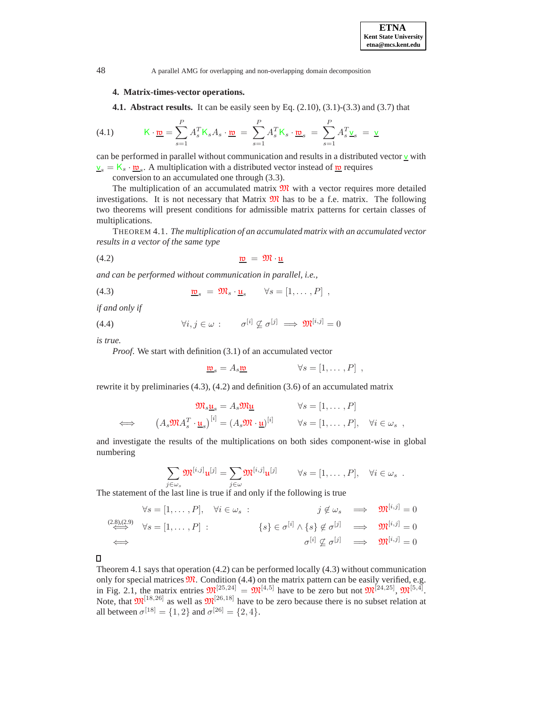

### **4. Matrix-times-vector operations.**

**4.1. Abstract results.** It can be easily seen by Eq. (2.10), (3.1)-(3.3) and (3.7) that

(4.1) 
$$
\mathsf{K} \cdot \underline{\mathbf{m}} = \sum_{s=1}^{P} A_s^T \mathsf{K}_s A_s \cdot \underline{\mathbf{m}} = \sum_{s=1}^{P} A_s^T \mathsf{K}_s \cdot \underline{\mathbf{m}}_s = \sum_{s=1}^{P} A_s^T \underline{\mathbf{v}}_s = \underline{\mathbf{v}}
$$

can be performed in parallel without communication and results in a distributed vector  $\underline{v}$  with  $v_s = K_s \cdot \underline{w}_s$ . A multiplication with a distributed vector instead of  $\underline{w}$  requires

conversion to an accumulated one through (3.3).

The multiplication of an accumulated matrix  $\mathfrak{M}$  with a vector requires more detailed investigations. It is not necessary that Matrix  $\mathfrak{M}$  has to be a f.e. matrix. The following two theorems will present conditions for admissible matrix patterns for certain classes of multiplications.

THEOREM 4.1. *The multiplication of an accumulated matrix with an accumulated vector results in a vector of the same type*

(4.2) <sup>w</sup> = <sup>M</sup> · <sup>u</sup>

*and can be performed without communication in parallel, i.e.,*

(4.3) 
$$
\underline{\mathfrak{w}}_s = \mathfrak{M}_s \cdot \underline{\mathfrak{u}}_s \qquad \forall s = [1, \dots, P] ,
$$

*if and only if*

(4.4) 
$$
\forall i, j \in \omega : \sigma^{[i]} \not\subseteq \sigma^{[j]} \implies \mathfrak{M}^{[i,j]} = 0
$$

*is true.*

*Proof.* We start with definition (3.1) of an accumulated vector

$$
\mathbf{w}_s = A_s \mathbf{w} \qquad \forall s = [1, \dots, P] ,
$$

rewrite it by preliminaries (4.3), (4.2) and definition (3.6) of an accumulated matrix

$$
\mathfrak{M}_s \underline{\mathbf{u}}_s = A_s \mathfrak{M} \underline{\mathbf{u}} \qquad \forall s = [1, \dots, P]
$$
  
\n
$$
\iff (A_s \mathfrak{M} A_s^T \cdot \underline{\mathbf{u}}_s)^{[i]} = (A_s \mathfrak{M} \cdot \underline{\mathbf{u}})^{[i]} \qquad \forall s = [1, \dots, P], \quad \forall i \in \omega_s ,
$$

and investigate the results of the multiplications on both sides component-wise in global numbering

$$
\sum_{j\in\omega_s}\mathfrak{M}^{[i,j]} \mathfrak{u}^{[j]} = \sum_{j\in\omega}\mathfrak{M}^{[i,j]} \mathfrak{u}^{[j]} \qquad \forall s=[1,\ldots,P], \quad \forall i\in\omega_s.
$$

The statement of the last line is true if and only if the following is true

$$
\forall s = [1, ..., P], \quad \forall i \in \omega_s : \qquad j \notin \omega_s \implies \mathfrak{M}^{[i,j]} = 0
$$
  

$$
\iff \qquad \forall s = [1, ..., P] : \qquad \{s\} \in \sigma^{[i]} \wedge \{s\} \notin \sigma^{[j]} \implies \mathfrak{M}^{[i,j]} = 0
$$
  

$$
\iff \qquad \sigma^{[i]} \not\subseteq \sigma^{[j]} \implies \mathfrak{M}^{[i,j]} = 0
$$

0

Theorem 4.1 says that operation (4.2) can be performed locally (4.3) without communication only for special matrices  $\mathfrak{M}$ . Condition (4.4) on the matrix pattern can be easily verified, e.g. in Fig. 2.1, the matrix entries  $\mathfrak{M}^{[25,24]} = \mathfrak{M}^{[4,5]}$  have to be zero but not  $\mathfrak{M}^{[24,25]}$ ,  $\mathfrak{M}^{[5,4]}$ . Note, that  $\mathfrak{M}^{[18,26]}$  as well as  $\mathfrak{M}^{[26,18]}$  have to be zero because there is no subset relation at all between  $\sigma^{[18]} = \{1, 2\}$  and  $\sigma^{[26]} = \{2, 4\}.$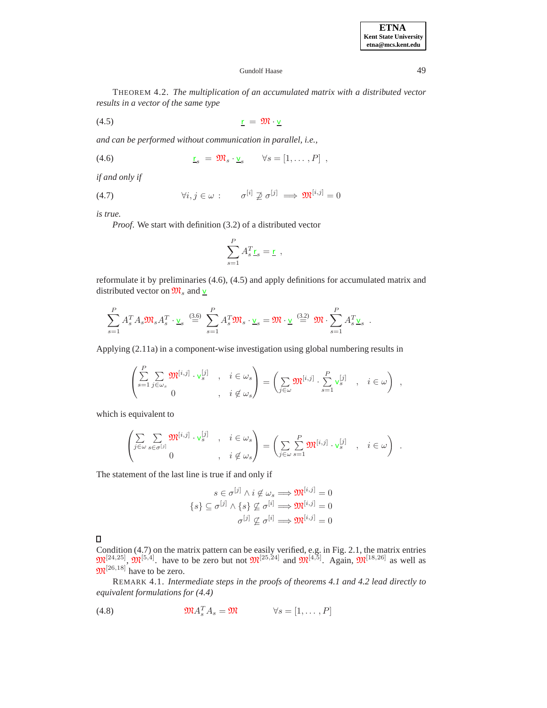### Gundolf Haase 49

THEOREM 4.2. *The multiplication of an accumulated matrix with a distributed vector results in a vector of the same type*

$$
\underline{\mathbf{r}} = \mathfrak{M} \cdot \underline{\mathbf{v}}
$$

*and can be performed without communication in parallel, i.e.,*

(4.6) 
$$
\underline{\mathbf{r}}_s = \mathfrak{M}_s \cdot \underline{\mathbf{v}}_s \qquad \forall s = [1, \ldots, P] ,
$$

*if and only if*

(4.7) 
$$
\forall i, j \in \omega : \qquad \sigma^{[i]} \not\supseteq \sigma^{[j]} \implies \mathfrak{M}^{[i,j]} = 0
$$

*is true.*

*Proof*. We start with definition (3.2) of a distributed vector

$$
\sum_{s=1}^{P} A_s^T \underline{\mathbf{r}}_s = \underline{\mathbf{r}} \ ,
$$

reformulate it by preliminaries (4.6), (4.5) and apply definitions for accumulated matrix and distributed vector on  $\mathfrak{M}_s$  and  $\underline{v}$ 

$$
\sum_{s=1}^P A_s^T A_s \mathfrak{M}_s A_s^T \cdot \underline{\mathbf{v}}_s \stackrel{(3.6)}{=} \sum_{s=1}^P A_s^T \mathfrak{M}_s \cdot \underline{\mathbf{v}}_s = \mathfrak{M} \cdot \underline{\mathbf{v}} \stackrel{(3.2)}{=} \mathfrak{M} \cdot \sum_{s=1}^P A_s^T \underline{\mathbf{v}}_s.
$$

Applying (2.11a) in a component-wise investigation using global numbering results in

$$
\begin{pmatrix}\n\sum_{s=1}^{P} \sum_{j \in \omega_s} \mathfrak{M}^{[i,j]} \cdot \mathbf{v}_s^{[j]} & , & i \in \omega_s \\
0 & , & i \notin \omega_s\n\end{pmatrix} = \left( \sum_{j \in \omega} \mathfrak{M}^{[i,j]} \cdot \sum_{s=1}^{P} \mathbf{v}_s^{[j]} & , & i \in \omega \right) ,
$$

which is equivalent to

$$
\begin{pmatrix}\n\sum_{j \in \omega} \sum_{s \in \sigma^{[j]}} \mathfrak{M}^{[i,j]} \cdot \mathsf{v}_s^{[j]} , & i \in \omega_s \\
0, & i \notin \omega_s\n\end{pmatrix} = \left( \sum_{j \in \omega} \sum_{s=1}^P \mathfrak{M}^{[i,j]} \cdot \mathsf{v}_s^{[j]} , i \in \omega \right) .
$$

The statement of the last line is true if and only if

$$
s \in \sigma^{[j]} \land i \notin \omega_s \Longrightarrow \mathfrak{M}^{[i,j]} = 0
$$

$$
\{s\} \subseteq \sigma^{[j]} \land \{s\} \not\subseteq \sigma^{[i]} \Longrightarrow \mathfrak{M}^{[i,j]} = 0
$$

$$
\sigma^{[j]} \not\subseteq \sigma^{[i]} \Longrightarrow \mathfrak{M}^{[i,j]} = 0
$$

 $\Box$ 

Condition (4.7) on the matrix pattern can be easily verified, e.g. in Fig. 2.1, the matrix entries  $\mathfrak{M}^{[24,25]}$ ,  $\mathfrak{M}^{[5,4]}$ . have to be zero but not  $\mathfrak{M}^{[25,24]}$  and  $\mathfrak{M}^{[4,5]}$ . Again,  $\mathfrak{M}^{[18,26]}$  as well as  $\mathfrak{M}^{[26,18]}$  have to be zero.

REMARK 4.1. *Intermediate steps in the proofs of theorems 4.1 and 4.2 lead directly to equivalent formulations for (4.4)*

(4.8) 
$$
\mathfrak{M} A_s^T A_s = \mathfrak{M} \qquad \forall s = [1, ..., P]
$$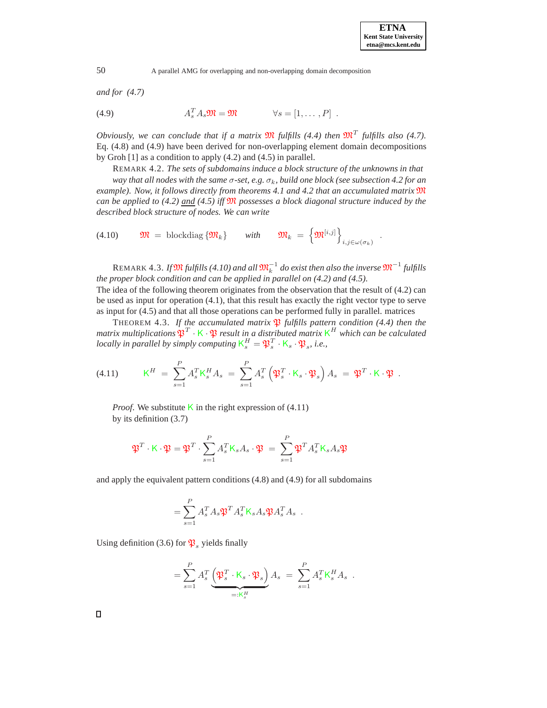*and for (4.7)*

(4.9) 
$$
A_s^T A_s \mathfrak{M} = \mathfrak{M} \qquad \forall s = [1, \dots, P] .
$$

*Obviously, we can conclude that if a matrix*  $\mathfrak{M}$  *fulfills (4.4) then*  $\mathfrak{M}^T$  *fulfills also (4.7).* Eq. (4.8) and (4.9) have been derived for non-overlapping element domain decompositions by Groh [1] as a condition to apply (4.2) and (4.5) in parallel.

REMARK 4.2. *The sets of subdomains induce a block structure of the unknowns in that*

*way that all nodes with the same* σ*-set, e.g.* σk*, build one block (see subsection 4.2 for an example). Now, it follows directly from theorems 4.1 and 4.2 that an accumulated matrix* <sup>M</sup> *can be applied to (4.2) and (4.5) iff*  $\mathfrak{M}$  *possesses a block diagonal structure induced by the described block structure of nodes. We can write*

$$
(4.10) \t \mathfrak{M} = \text{blockdiag} \{ \mathfrak{M}_k \} \t \text{with} \t \mathfrak{M}_k = \left\{ \mathfrak{M}^{[i,j]} \right\}_{i,j \in \omega(\sigma_k)}.
$$

 ${\rm REMARK}$  4.3. If  $\mathfrak M$  *fulfills (4.10) and all*  $\mathfrak M_k^{-1}$  do exist then also the inverse  $\mathfrak M^{-1}$  fulfills *the proper block condition and can be applied in parallel on (4.2) and (4.5).* The idea of the following theorem originates from the observation that the result of (4.2) can be used as input for operation (4.1), that this result has exactly the right vector type to serve as input for (4.5) and that all those operations can be performed fully in parallel. matrices

THEOREM 4.3. *If the accumulated matrix*  $\mathfrak{P}$  *fulfills pattern condition* (4.4) then the *matrix multiplications*  $\mathfrak{P}^T \cdot K \cdot \mathfrak{P}$  *result in a distributed matrix*  $K^H$  *which can be calculated locally in parallel by simply computing*  $K_s^H = \mathfrak{P}_s^T \cdot K_s \cdot \mathfrak{P}_s$ , *i.e.*,

(4.11) 
$$
\mathsf{K}^H = \sum_{s=1}^P A_s^T \mathsf{K}_s^H A_s = \sum_{s=1}^P A_s^T \left( \mathfrak{P}_s^T \cdot \mathsf{K}_s \cdot \mathfrak{P}_s \right) A_s = \mathfrak{P}^T \cdot \mathsf{K} \cdot \mathfrak{P}.
$$

*Proof.* We substitute K in the right expression of  $(4.11)$ by its definition (3.7)

$$
\mathfrak{P}^T\cdot \mathsf{K}\cdot \mathfrak{P}=\mathfrak{P}^T\cdot \sum_{s=1}^P A_s^T \mathsf{K}_sA_s\cdot \mathfrak{P}\ =\ \sum_{s=1}^P \mathfrak{P}^TA_s^T \mathsf{K}_sA_s \mathfrak{P}
$$

and apply the equivalent pattern conditions (4.8) and (4.9) for all subdomains

$$
= \sum_{s=1}^P A_s^T A_s \mathfrak{P}^T A_s^T \mathsf{K}_s A_s \mathfrak{P} A_s^T A_s .
$$

Using definition (3.6) for  $\mathfrak{P}_s$  yields finally

$$
= \sum_{s=1}^{P} A_s^T \underbrace{\left(\mathfrak{P}_s^T \cdot \mathsf{K}_s \cdot \mathfrak{P}_s\right)}_{=: \mathsf{K}_s^H} A_s = \sum_{s=1}^{P} A_s^T \mathsf{K}_s^H A_s.
$$

 $\Box$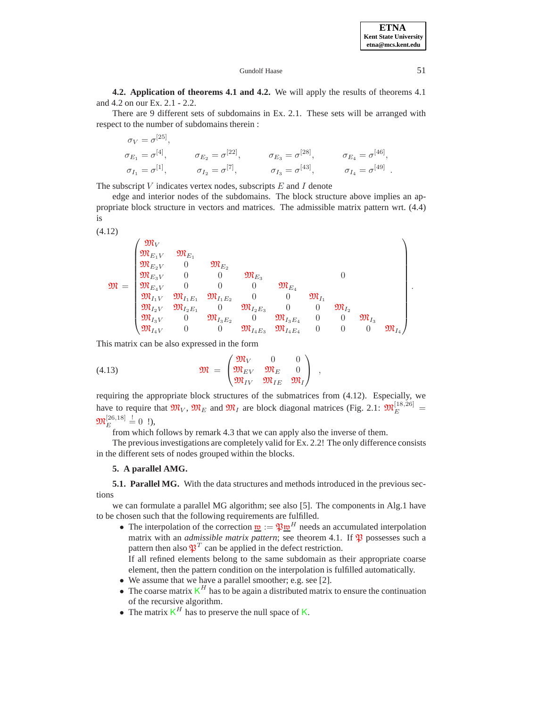### Gundolf Haase 51

**4.2. Application of theorems 4.1 and 4.2.** We will apply the results of theorems 4.1 and 4.2 on our Ex. 2.1 - 2.2.

There are 9 different sets of subdomains in Ex. 2.1. These sets will be arranged with respect to the number of subdomains therein :

$$
\sigma_V = \sigma^{[25]},
$$
  
\n
$$
\sigma_{E_1} = \sigma^{[4]},
$$
  
\n
$$
\sigma_{E_2} = \sigma^{[22]},
$$
  
\n
$$
\sigma_{E_3} = \sigma^{[28]},
$$
  
\n
$$
\sigma_{E_4} = \sigma^{[46]},
$$
  
\n
$$
\sigma_{I_1} = \sigma^{[1]},
$$
  
\n
$$
\sigma_{I_2} = \sigma^{[7]},
$$
  
\n
$$
\sigma_{I_3} = \sigma^{[43]},
$$
  
\n
$$
\sigma_{I_4} = \sigma^{[49]}.
$$

The subscript  $V$  indicates vertex nodes, subscripts  $E$  and  $I$  denote

edge and interior nodes of the subdomains. The block structure above implies an appropriate block structure in vectors and matrices. The admissible matrix pattern wrt. (4.4) is

(4.12)  
\n
$$
\mathfrak{M} = \begin{pmatrix}\n\mathfrak{M}_{V} & \mathfrak{M}_{E_{1}} \\
\mathfrak{M}_{E_{2}V} & 0 & \mathfrak{M}_{E_{2}} \\
\mathfrak{M}_{E_{3}V} & 0 & 0 & \mathfrak{M}_{E_{3}} \\
\mathfrak{M}_{E_{4}V} & 0 & 0 & 0 & \mathfrak{M}_{E_{4}} \\
\mathfrak{M}_{I_{1}V} & \mathfrak{M}_{I_{1}E_{1}} & \mathfrak{M}_{I_{1}E_{2}} & 0 & 0 & \mathfrak{M}_{I_{1}} \\
\mathfrak{M}_{I_{2}V} & \mathfrak{M}_{I_{2}E_{1}} & 0 & \mathfrak{M}_{I_{2}E_{3}} & 0 & \mathfrak{M}_{I_{2}} \\
\mathfrak{M}_{I_{3}V} & 0 & \mathfrak{M}_{I_{3}E_{2}} & 0 & \mathfrak{M}_{I_{3}E_{4}} & 0 & 0 & \mathfrak{M}_{I_{3}} \\
\mathfrak{M}_{I_{4}V} & 0 & 0 & \mathfrak{M}_{I_{4}E_{3}} & \mathfrak{M}_{I_{4}E_{4}} & 0 & 0 & 0 & \mathfrak{M}_{I_{4}}\n\end{pmatrix}
$$

This matrix can be also expressed in the form

(4.13) 
$$
\mathfrak{M} = \begin{pmatrix} \mathfrak{M}_V & 0 & 0 \\ \mathfrak{M}_{EV} & \mathfrak{M}_E & 0 \\ \mathfrak{M}_{IV} & \mathfrak{M}_{IE} & \mathfrak{M}_I \end{pmatrix} ,
$$

requiring the appropriate block structures of the submatrices from (4.12). Especially, we have to require that  $\mathfrak{M}_V$ ,  $\mathfrak{M}_E$  and  $\mathfrak{M}_I$  are block diagonal matrices (Fig. 2.1:  $\mathfrak{M}_E^{[18,26]}$  =  $\mathfrak{M}_{E}^{[26,18]} \stackrel{!}{=} 0$  !),

from which follows by remark 4.3 that we can apply also the inverse of them.

The previous investigations are completely valid for Ex. 2.2! The only difference consists in the different sets of nodes grouped within the blocks.

#### **5. A parallel AMG.**

**5.1. Parallel MG.** With the data structures and methods introduced in the previous sections

we can formulate a parallel MG algorithm; see also [5]. The components in Alg.1 have to be chosen such that the following requirements are fulfilled.

- The interpolation of the correction  $\underline{\mathbf{w}} := \mathfrak{P} \underline{\mathbf{w}}^H$  needs an accumulated interpolation matrix with an *admissible matrix pattern*; see theorem 4.1. If  $\mathfrak P$  possesses such a pattern then also  $\mathfrak{P}^T$  can be applied in the defect restriction. If all refined elements belong to the same subdomain as their appropriate coarse element, then the pattern condition on the interpolation is fulfilled automatically.
- We assume that we have a parallel smoother; e.g. see [2].
- The coarse matrix  $K^H$  has to be again a distributed matrix to ensure the continuation of the recursive algorithm.
- The matrix  $K^H$  has to preserve the null space of K.

.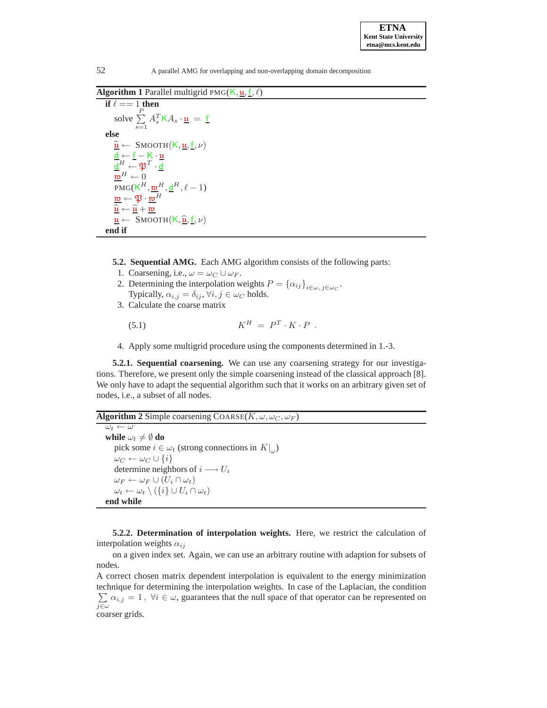```
ETNA
Kent State University 
etna@mcs.kent.edu
```
**Algorithm 1** Parallel multigrid PMG( $K, \underline{\mathbf{u}}, \underline{\mathbf{f}}, \ell$ )

**if**  $\ell = 1$  **then** solve  $\Sigma$ P  $\sum_{s=1}$  $A_s^T$ K $A_s \cdot \underline{\mathfrak{u}} = \underline{\mathfrak{f}}$ **else**  $\widetilde{\mathbf{u}} \leftarrow$  SMOOTH $(K, \mathbf{u}, \underline{\mathbf{f}}, \nu)$  $\underline{\mathsf{d}} \leftarrow \underline{\mathsf{f}} - \mathsf{K} \cdot \underline{\mathsf{u}}$  $\overline{\mathsf{d}}^{H} \leftarrow \mathfrak{P}^{T} \cdot \overline{\mathsf{d}}$  $\mathfrak{w}^H \leftarrow 0$ PMG( $K^H$ ,  $\underline{w}^H$ ,  $\underline{d}^H$ ,  $\ell - 1$ )  $\underline{\mathfrak{w}} \leftarrow \mathfrak{P} \cdot \overline{\mathfrak{w}}^H$  $\frac{\widehat{\mathfrak{u}} \leftarrow \widetilde{\mathfrak{u}} + \underline{\mathfrak{w}}}{\text{SMOOTU}(K \widehat{\mathfrak{u}} \mathfrak{f} \mathfrak{u})}$  $\frac{\mathbf{u}}{\mathbf{d}} \leftarrow \text{SMOOTH}(\mathsf{K}, \widehat{\mathbf{u}}, \mathbf{f}, \nu)$ **end if**

**5.2. Sequential AMG.** Each AMG algorithm consists of the following parts:

- 1. Coarsening, i.e.,  $\omega = \omega_C \cup \omega_F$ .
- 2. Determining the interpolation weights  $P = {\{\alpha_{ij}\}}_{i \in \omega}$ ,  $i \in \omega_C$ . Typically,  $\alpha_{i,j} = \delta_{ij}$ ,  $\forall i, j \in \omega_C$  holds.
- 3. Calculate the coarse matrix

$$
(5.1) \t KH = PT \cdot K \cdot P.
$$

4. Apply some multigrid procedure using the components determined in 1.-3.

**5.2.1. Sequential coarsening.** We can use any coarsening strategy for our investigations. Therefore, we present only the simple coarsening instead of the classical approach [8]. We only have to adapt the sequential algorithm such that it works on an arbitrary given set of nodes, i.e., a subset of all nodes.

**Algorithm 2** Simple coarsening  $\text{Coarse}(K, \omega, \omega_C, \omega_F)$ 

 $\overline{\omega}$   $\leftarrow$   $\overline{\omega}$ **while**  $\omega_t \neq \emptyset$  **do** pick some  $i \in \omega_t$  (strong connections in  $K|_{\omega}$ )  $\omega_C \leftarrow \omega_C \cup \{i\}$ determine neighbors of  $i \rightarrow U_i$  $\omega_F \leftarrow \omega_F \cup (U_i \cap \omega_t)$  $\omega_t \leftarrow \omega_t \setminus (\{i\} \cup U_i \cap \omega_t)$ **end while**

**5.2.2. Determination of interpolation weights.** Here, we restrict the calculation of interpolation weights  $\alpha_{ij}$ 

on a given index set. Again, we can use an arbitrary routine with adaption for subsets of nodes.

A correct chosen matrix dependent interpolation is equivalent to the energy minimization technique for determining the interpolation weights. In case of the Laplacian, the condition  $\sum \alpha_{i,j} = 1$ ,  $\forall i \in \omega$ , guarantees that the null space of that operator can be represented on  $j\overline{\in }\omega$ coarser grids.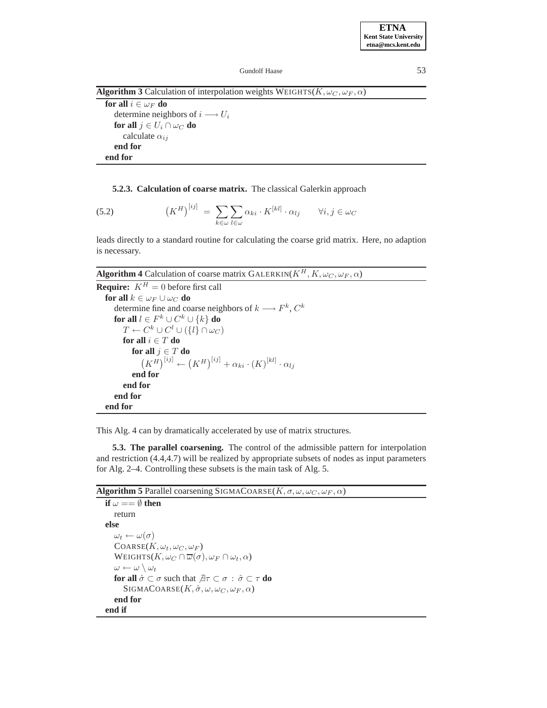### Gundolf Haase 53

**Algorithm 3** Calculation of interpolation weights WEIGHTS( $K, \omega_C, \omega_F, \alpha$ )

**for all**  $i \in \omega_F$  **do** determine neighbors of  $i \rightarrow U_i$ **for all**  $j \in U_i \cap \omega_C$  **do** calculate  $\alpha_{ij}$ **end for end for**

### **5.2.3. Calculation of coarse matrix.** The classical Galerkin approach

(5.2) 
$$
(K^H)^{[ij]} = \sum_{k \in \omega} \sum_{l \in \omega} \alpha_{ki} \cdot K^{[kl]} \cdot \alpha_{lj} \qquad \forall i, j \in \omega_C
$$

leads directly to a standard routine for calculating the coarse grid matrix. Here, no adaption is necessary.

# **Algorithm 4** Calculation of coarse matrix GALERKIN( $K^H$ ,  $K$ ,  $\omega_C$ ,  $\omega_F$ ,  $\alpha$ )

```
Require: K^H = 0 before first call
   for all k \in \omega_F \cup \omega_C do
      determine fine and coarse neighbors of k \longrightarrow F^k, C^kfor all l \in F^k \cup C^k \cup \{k\} do
          T \leftarrow C^k \cup C^l \cup (\{l\} \cap \omega_C)for all i \in T do
             for all j \in T do
                 (K^H)^{[ij]} \leftarrow (K^H)^{[ij]} + \alpha_{ki} \cdot (K)^{[kl]} \cdot \alpha_{lj}end for
          end for
      end for
   end for
```
This Alg. 4 can by dramatically accelerated by use of matrix structures.

**5.3. The parallel coarsening.** The control of the admissible pattern for interpolation and restriction (4.4,4.7) will be realized by appropriate subsets of nodes as input parameters for Alg. 2–4. Controlling these subsets is the main task of Alg. 5.

**Algorithm 5** Parallel coarsening SIGMACOARSE( $K, \sigma, \omega, \omega_C, \omega_F, \alpha$ )

```
if \omega == \emptyset then
    return
else
    \omega_t \leftarrow \omega(\sigma)\text{Coarse}(K, \omega_t, \omega_C, \omega_F)WEIGHTS(K, \omega_C \cap \overline{\omega}(\sigma), \omega_F \cap \omega_t, \alpha)\omega \leftarrow \omega \setminus \omega_tfor all \hat{\sigma} \subset \sigma such that \exists \tau \subset \sigma : \hat{\sigma} \subset \tau do
          SIGMACOARSE(K, \hat{\sigma}, \omega, \omega_C, \omega_F, \alpha)end for
end if
```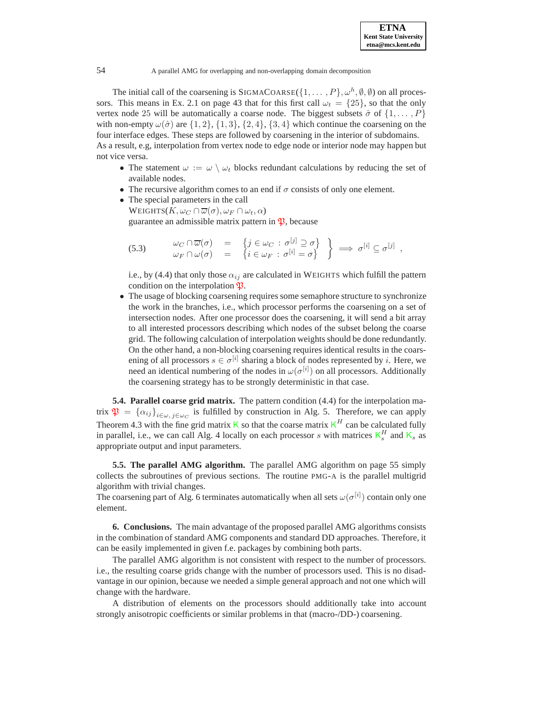The initial call of the coarsening is SIGMACOARSE( $\{1,\ldots, P\}$ ,  $\omega^h$ ,  $\emptyset$ ,  $\emptyset$ ) on all processors. This means in Ex. 2.1 on page 43 that for this first call  $\omega_t = \{25\}$ , so that the only vertex node 25 will be automatically a coarse node. The biggest subsets  $\hat{\sigma}$  of  $\{1, \ldots, P\}$ with non-empty  $\omega(\hat{\sigma})$  are  $\{1, 2\}, \{1, 3\}, \{2, 4\}, \{3, 4\}$  which continue the coarsening on the four interface edges. These steps are followed by coarsening in the interior of subdomains. As a result, e.g, interpolation from vertex node to edge node or interior node may happen but not vice versa.

- The statement  $\omega := \omega \setminus \omega_t$  blocks redundant calculations by reducing the set of available nodes.
- The recursive algorithm comes to an end if  $\sigma$  consists of only one element.
- The special parameters in the call WEIGHTS $(K, \omega_C \cap \overline{\omega}(\sigma), \omega_F \cap \omega_t, \alpha)$ guarantee an admissible matrix pattern in  $\mathfrak{P}$ , because

(5.3) 
$$
\begin{array}{rcl}\n\omega_C \cap \overline{\omega}(\sigma) & = & \left\{ j \in \omega_C \, : \, \sigma^{[j]} \supseteq \sigma \right\} \\
\omega_F \cap \omega(\sigma) & = & \left\{ i \in \omega_F \, : \, \sigma^{[i]} = \sigma \right\}\n\end{array} \Rightarrow \sigma^{[i]} \subseteq \sigma^{[j]} \ ,
$$

i.e., by (4.4) that only those  $\alpha_{ij}$  are calculated in WEIGHTS which fulfill the pattern condition on the interpolation  $\mathfrak{P}.$ 

• The usage of blocking coarsening requires some semaphore structure to synchronize the work in the branches, i.e., which processor performs the coarsening on a set of intersection nodes. After one processor does the coarsening, it will send a bit array to all interested processors describing which nodes of the subset belong the coarse grid. The following calculation of interpolation weights should be done redundantly. On the other hand, a non-blocking coarsening requires identical results in the coarsening of all processors  $s \in \sigma^{[i]}$  sharing a block of nodes represented by i. Here, we need an identical numbering of the nodes in  $\omega(\sigma^{[i]})$  on all processors. Additionally the coarsening strategy has to be strongly deterministic in that case.

**5.4. Parallel coarse grid matrix.** The pattern condition (4.4) for the interpolation matrix  $\mathfrak{P} = {\alpha_{ij}}_{i \in \omega, j \in \omega_C}$  is fulfilled by construction in Alg. 5. Therefore, we can apply Theorem 4.3 with the fine grid matrix K so that the coarse matrix  $K^H$  can be calculated fully in parallel, i.e., we can call Alg. 4 locally on each processor s with matrices  $K_s^H$  and  $K_s$  as appropriate output and input parameters.

**5.5. The parallel AMG algorithm.** The parallel AMG algorithm on page 55 simply collects the subroutines of previous sections. The routine PMG-A is the parallel multigrid algorithm with trivial changes.

The coarsening part of Alg. 6 terminates automatically when all sets  $\omega(\sigma^{[i]})$  contain only one element.

**6. Conclusions.** The main advantage of the proposed parallel AMG algorithms consists in the combination of standard AMG components and standard DD approaches. Therefore, it can be easily implemented in given f.e. packages by combining both parts.

The parallel AMG algorithm is not consistent with respect to the number of processors. i.e., the resulting coarse grids change with the number of processors used. This is no disadvantage in our opinion, because we needed a simple general approach and not one which will change with the hardware.

A distribution of elements on the processors should additionally take into account strongly anisotropic coefficients or similar problems in that (macro-/DD-) coarsening.